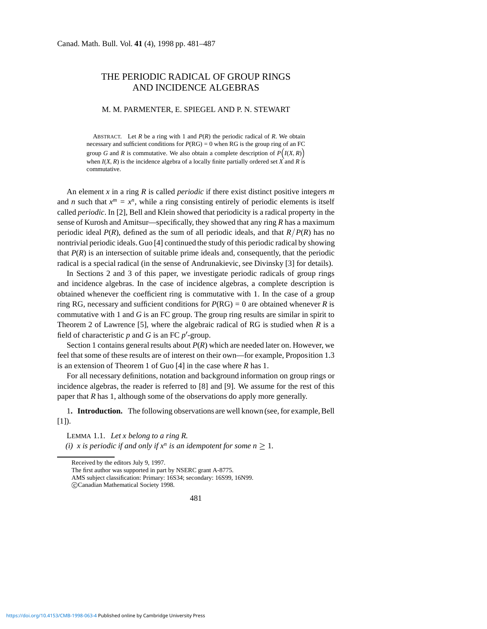## THE PERIODIC RADICAL OF GROUP RINGS AND INCIDENCE ALGEBRAS

## M. M. PARMENTER, E. SPIEGEL AND P. N. STEWART

ABSTRACT. Let  $R$  be a ring with 1 and  $P(R)$  the periodic radical of  $R$ . We obtain necessary and sufficient conditions for  $P(RG) = 0$  when RG is the group ring of an FC group *G* and *R* is commutative. We also obtain a complete description of  $P(I(X,R))$ when  $I(X, R)$  is the incidence algebra of a locally finite partially ordered set  $\overrightarrow{X}$  and  $\overrightarrow{R}$  is commutative.

An element *x* in a ring *R* is called *periodic* if there exist distinct positive integers *m* and *n* such that  $x^m = x^n$ , while a ring consisting entirely of periodic elements is itself called *periodic*. In [2], Bell and Klein showed that periodicity is a radical property in the sense of Kurosh and Amitsur—specifically, they showed that any ring *R* has a maximum periodic ideal  $P(R)$ , defined as the sum of all periodic ideals, and that  $R/P(R)$  has no nontrivial periodic ideals. Guo [4] continued the study of this periodic radical by showing that  $P(R)$  is an intersection of suitable prime ideals and, consequently, that the periodic radical is a special radical (in the sense of Andrunakievic, see Divinsky [3] for details).

In Sections 2 and 3 of this paper, we investigate periodic radicals of group rings and incidence algebras. In the case of incidence algebras, a complete description is obtained whenever the coefficient ring is commutative with 1. In the case of a group ring RG, necessary and sufficient conditions for  $P(RG) = 0$  are obtained whenever *R* is commutative with 1 and *G* is an FC group. The group ring results are similar in spirit to Theorem 2 of Lawrence [5], where the algebraic radical of RG is studied when *R* is a field of characteristic  $p$  and  $G$  is an FC  $p'$ -group.

Section 1 contains general results about *P*(*R*) which are needed later on. However, we feel that some of these results are of interest on their own—for example, Proposition 1.3 is an extension of Theorem 1 of Guo [4] in the case where *R* has 1.

For all necessary definitions, notation and background information on group rings or incidence algebras, the reader is referred to [8] and [9]. We assume for the rest of this paper that *R* has 1, although some of the observations do apply more generally.

1**. Introduction.** The following observations are well known (see, for example, Bell  $[1]$ ).

LEMMA 1.1. *Let x belong to a ring R. (i)* x is periodic if and only if  $x^n$  is an idempotent for some  $n \geq 1$ .

Received by the editors July 9, 1997.

The first author was supported in part by NSERC grant A-8775.

AMS subject classification: Primary: 16S34; secondary: 16S99, 16N99.

c Canadian Mathematical Society 1998.

<sup>481</sup>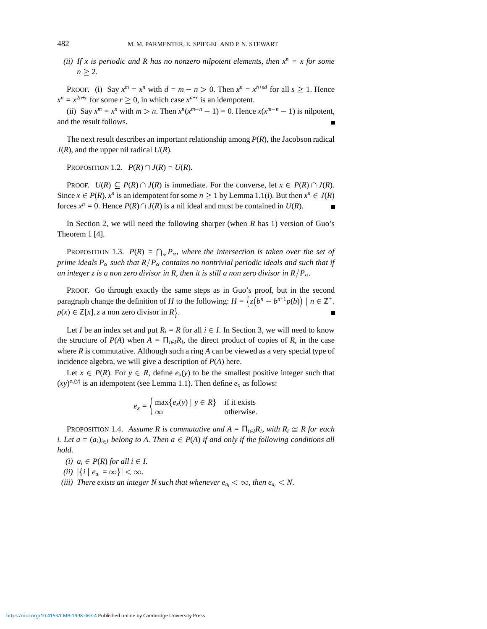*(ii) If x is periodic and R has no nonzero nilpotent elements, then*  $x^n = x$  *for some*  $n \geq 2$ .

PROOF. (i) Say  $x^m = x^n$  with  $d = m - n > 0$ . Then  $x^n = x^{n+s}d$  for all  $s \ge 1$ . Hence  $x^n = x^{2n+r}$  for some  $r \ge 0$ , in which case  $x^{n+r}$  is an idempotent.

(ii) Say  $x^m = x^n$  with  $m > n$ . Then  $x^n(x^{m-n} - 1) = 0$ . Hence  $x(x^{m-n} - 1)$  is nilpotent, and the result follows.

The next result describes an important relationship among *P*(*R*), the Jacobson radical  $J(R)$ , and the upper nil radical  $U(R)$ .

PROPOSITION 1.2.  $P(R) \cap J(R) = U(R)$ .

PROOF.  $U(R) \subseteq P(R) \cap J(R)$  is immediate. For the converse, let  $x \in P(R) \cap J(R)$ . Since  $x \in P(R)$ ,  $x^n$  is an idempotent for some  $n \ge 1$  by Lemma 1.1(i). But then  $x^n \in J(R)$ forces  $x^n = 0$ . Hence  $P(R) \cap J(R)$  is a nil ideal and must be contained in  $U(R)$ .  $\blacksquare$ 

In Section 2, we will need the following sharper (when *R* has 1) version of Guo's Theorem 1 [4].

**PROPOSITION** 1.3.  $P(R) = \bigcap_{\alpha} P_{\alpha}$ , where the intersection is taken over the set of *prime ideals P<sub>* $\alpha$ *</sub> such that R* $/P_{\alpha}$  *contains no nontrivial periodic ideals and such that if an integer z is a non zero divisor in R, then it is still a non zero divisor in R/P*<sub> $\alpha$ </sub>.

PROOF. Go through exactly the same steps as in Guo's proof, but in the second paragraph change the definition of *H* to the following:  $H = \{z(b^n - b^{n+1}p(b)) \mid n \in \mathbb{Z}^+,$  $p(x) \in \mathbb{Z}[x], z$  a non zero divisor in  $R$ .

Let *I* be an index set and put  $R_i = R$  for all  $i \in I$ . In Section 3, we will need to know the structure of  $P(A)$  when  $A = \prod_{i \in I} R_i$ , the direct product of copies of *R*, in the case where *R* is commutative. Although such a ring *A* can be viewed as a very special type of incidence algebra, we will give a description of *P*(*A*) here.

Let  $x \in P(R)$ . For  $y \in R$ , define  $e_x(y)$  to be the smallest positive integer such that  $(xy)^{e_x(y)}$  is an idempotent (see Lemma 1.1). Then define  $e_x$  as follows:

> $e_x = \begin{cases} \max\{e_x(y) \mid y \in R\} & \text{if it exists} \\ \infty & \text{otherwise} \end{cases}$  $\infty$  otherwise.

**PROPOSITION 1.4.** *Assume R is commutative and A* =  $\Pi_{i \in I}R_i$ , with  $R_i \cong R$  for each *i. Let a* =  $(a_i)_{i \in I}$  *belong to A. Then a*  $\in$  *P(A) if and only if the following conditions all hold.*

*(i)*  $a_i \in P(R)$  *for all*  $i \in I$ .

$$
(ii) \ \left|\{i \mid e_{a_i} = \infty\}\right| < \infty.
$$

*(iii)* There exists an integer N such that whenever  $e_{a_i} < \infty$ , then  $e_{a_i} < N$ .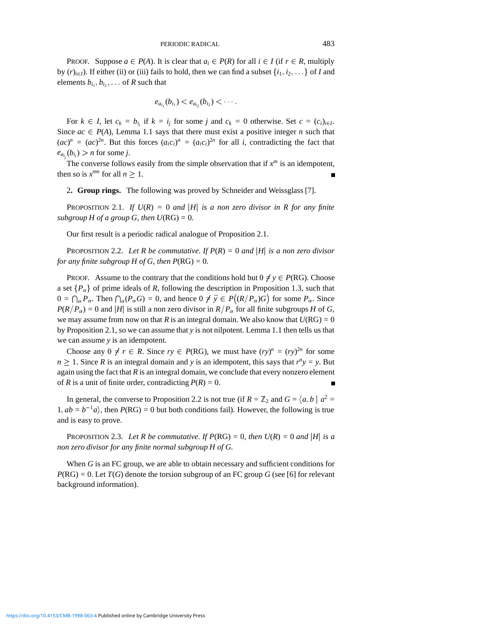PROOF. Suppose  $a \in P(A)$ . It is clear that  $a_i \in P(R)$  for all  $i \in I$  (if  $r \in R$ , multiply by  $(r)_{i\in I}$ ). If either (ii) or (iii) fails to hold, then we can find a subset  $\{i_1, i_2, \ldots\}$  of *I* and elements  $b_{i_1}, b_{i_2}, \ldots$  of *R* such that

$$
e_{a_{i_1}}(b_{i_1}) < e_{a_{i_2}}(b_{i_2}) < \cdots.
$$

For  $k \in I$ , let  $c_k = b_{i_j}$  if  $k = i_j$  for some *j* and  $c_k = 0$  otherwise. Set  $c = (c_i)_{i \in I}$ . Since  $ac \in P(A)$ , Lemma 1.1 says that there must exist a positive integer *n* such that  $(ac)^n = (ac)^{2n}$ . But this forces  $(a_i c_i)^n = (a_i c_i)^{2n}$  for all *i*, contradicting the fact that  $e_{a_{i_j}}(b_{i_j}) > n$  for some *j*.

The converse follows easily from the simple observation that if  $x^m$  is an idempotent, then so is  $x^{mn}$  for all  $n \geq 1$ .

2**. Group rings.** The following was proved by Schneider and Weissglass [7].

**PROPOSITION 2.1.** *If*  $U(R) = 0$  *and*  $|H|$  *is a non zero divisor in R for any finite subgroup H of a group G, then*  $U(RG) = 0$ *.* 

Our first result is a periodic radical analogue of Proposition 2.1.

PROPOSITION 2.2. Let R be commutative. If  $P(R) = 0$  and |*H*| *is a non zero divisor for any finite subgroup H of G, then*  $P(RG) = 0$ *.* 

PROOF. Assume to the contrary that the conditions hold but  $0 \neq y \in P(RG)$ . Choose a set  ${P_\alpha}$  of prime ideals of *R*, following the description in Proposition 1.3, such that  $0 = \bigcap_{\alpha} P_{\alpha}$ . Then  $\bigcap_{\alpha} (P_{\alpha}G) = 0$ , and hence  $0 \neq \overline{y} \in P((R/P_{\alpha})G)$  for some  $P_{\alpha}$ . Since  $P(R/P_\alpha) = 0$  and |*H*| is still a non zero divisor in  $R/P_\alpha$  for all finite subgroups *H* of *G*, we may assume from now on that *R* is an integral domain. We also know that  $U(RG) = 0$ by Proposition 2.1, so we can assume that *y* is not nilpotent. Lemma 1.1 then tells us that we can assume *y* is an idempotent.

Choose any  $0 \neq r \in R$ . Since  $ry \in P(RG)$ , we must have  $(ry)^n = (ry)^{2n}$  for some  $n \geq 1$ . Since *R* is an integral domain and *y* is an idempotent, this says that  $r^n y = y$ . But again using the fact that  $R$  is an integral domain, we conclude that every nonzero element of *R* is a unit of finite order, contradicting  $P(R) = 0$ .

In general, the converse to Proposition 2.2 is not true (if  $R = \mathbb{Z}_2$  and  $G = \langle a, b \mid a^2 = \mathbb{Z}_2$  $1$ ,  $ab = b^{-1}a$ , then  $P(RG) = 0$  but both conditions fail). However, the following is true and is easy to prove.

PROPOSITION 2.3. Let R be commutative. If  $P(RG) = 0$ , then  $U(R) = 0$  and  $|H|$  is a *non zero divisor for any finite normal subgroup H of G.*

When *G* is an FC group, we are able to obtain necessary and sufficient conditions for  $P(RG) = 0$ . Let *T*(*G*) denote the torsion subgroup of an FC group *G* (see [6] for relevant background information).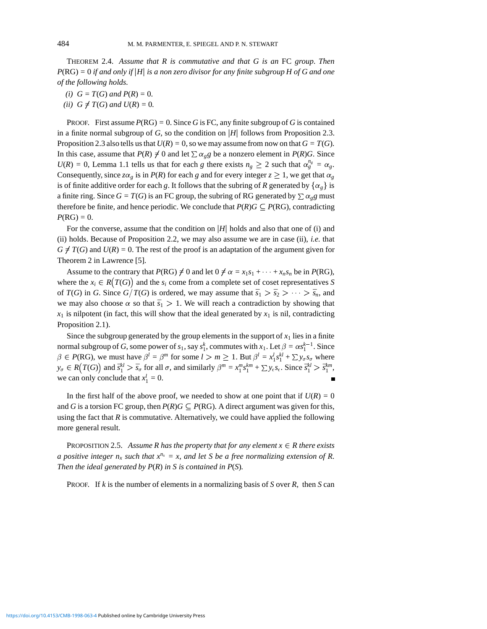THEOREM 2.4. *Assume that R is commutative and that G is an* FC *group. Then*  $P(RG) = 0$  *if and only if* |*H*| *is a non zero divisor for any finite subgroup H of G and one of the following holds.*

- *(i)*  $G = T(G)$  *and*  $P(R) = 0$ *.*
- *(ii)*  $G \neq T(G)$  *and*  $U(R) = 0$ *.*

**PROOF.** First assume  $P(RG) = 0$ . Since *G* is FC, any finite subgroup of *G* is contained in a finite normal subgroup of *G*, so the condition on j*H*j follows from Proposition 2.3. Proposition 2.3 also tells us that  $U(R) = 0$ , so we may assume from now on that  $G = T(G)$ . In this case, assume that  $P(R) \neq 0$  and let  $\sum \alpha_g g$  be a nonzero element in  $P(R)G$ . Since  $U(R) = 0$ , Lemma 1.1 tells us that for each *g* there exists  $n_g \ge 2$  such that  $\alpha_g^{n_g} = \alpha_g$ . Consequently, since  $z\alpha_g$  is in *P(R)* for each *g* and for every integer  $z \ge 1$ , we get that  $\alpha_g$ is of finite additive order for each *g*. It follows that the subring of *R* generated by  $\{\alpha_{g}\}\$ is a finite ring. Since  $G = T(G)$  is an FC group, the subring of RG generated by  $\sum \alpha_g g$  must therefore be finite, and hence periodic. We conclude that  $P(R)G \subseteq P(RG)$ , contradicting  $P(RG) = 0.$ 

For the converse, assume that the condition on  $|H|$  holds and also that one of (i) and (ii) holds. Because of Proposition 2.2, we may also assume we are in case (ii), *i.e.* that  $G \neq T(G)$  and  $U(R) = 0$ . The rest of the proof is an adaptation of the argument given for Theorem 2 in Lawrence [5].

Assume to the contrary that  $P(RG) \neq 0$  and let  $0 \neq \alpha = x_1 s_1 + \cdots + x_n s_n$  be in  $P(RG)$ , where the  $x_i \in R(T(G))$  and the  $s_i$  come from a complete set of coset representatives *S* of *T*(*G*) in *G*. Since *G* $/T(G)$  is ordered, we may assume that  $\bar{s}_1 > \bar{s}_2 > \cdots > \bar{s}_n$ , and we may also choose  $\alpha$  so that  $\bar{s}_1 > 1$ . We will reach a contradiction by showing that  $x_1$  is nilpotent (in fact, this will show that the ideal generated by  $x_1$  is nil, contradicting Proposition 2.1).

Since the subgroup generated by the group elements in the support of  $x_1$  lies in a finite normal subgroup of *G*, some power of  $s_1$ , say  $s_1^k$ , commutes with  $x_1$ . Let  $\beta = \alpha s_1^{k-1}$ . Since  $\beta \in P(RG)$ , we must have  $\beta^l = \beta^m$  for some  $l > m \ge 1$ . But  $\beta^l = x_1^l s_1^{kl} + \sum y_\sigma s_\sigma$  where  $y_{\sigma} \in R(T(G))$  and  $\bar{s}_1^{kl} > \bar{s}_{\sigma}$  for all  $\sigma$ , and similarly  $\beta^m = x_1^m s_1^{km} + \sum y_{\epsilon} s_{\epsilon}$ . Since  $\bar{s}_1^{kl} > \bar{s}_1^{km}$ , we can only conclude that  $x_1^l = 0$ .

In the first half of the above proof, we needed to show at one point that if  $U(R) = 0$ and *G* is a torsion FC group, then  $P(R)G \subseteq P(RG)$ . A direct argument was given for this, using the fact that *R* is commutative. Alternatively, we could have applied the following more general result.

PROPOSITION 2.5. Assume R has the property that for any element  $x \in R$  there exists *a positive integer n<sub>x</sub> such that*  $x^{n_x} = x$ , and let S be a free normalizing extension of R. *Then the ideal generated by P*(*R*) *in S is contained in P*(*S*)*.*

PROOF. If *k* is the number of elements in a normalizing basis of *S* over *R*, then *S* can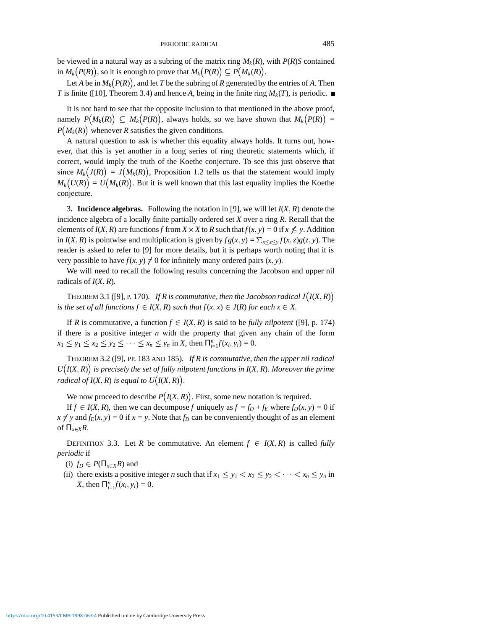be viewed in a natural way as a subring of the matrix ring  $M_k(R)$ , with  $P(R)$ *S* contained in  $M_k(P(R))$ , so it is enough to prove that  $M_k(P(R)) \subseteq P(M_k(R))$ .

Let *A* be in  $M_k(P(R))$ , and let *T* be the subring of *R* generated by the entries of *A*. Then *T* is finite ([10], Theorem 3.4) and hence *A*, being in the finite ring  $M_k(T)$ , is periodic.

It is not hard to see that the opposite inclusion to that mentioned in the above proof, namely  $P(M_k(R)) \subseteq M_k(P(R))$ , always holds, so we have shown that  $M_k(P(R)) =$  $P(M_k(R))$  whenever *R* satisfies the given conditions.

A natural question to ask is whether this equality always holds. It turns out, however, that this is yet another in a long series of ring theoretic statements which, if correct, would imply the truth of the Koethe conjecture. To see this just observe that since  $M_k(J(R)) = J(M_k(R))$ , Proposition 1.2 tells us that the statement would imply  $M_k(U(R)) = U(M_k(R))$ . But it is well known that this last equality implies the Koethe conjecture.

3. **Incidence algebras.** Following the notation in [9], we will let  $I(X, R)$  denote the incidence algebra of a locally finite partially ordered set *X* over a ring *R*. Recall that the elements of  $I(X, R)$  are functions f from  $X \times X$  to  $R$  such that  $f(x, y) = 0$  if  $x \nleq y$ . Addition in *I*(*X*, *R*) is pointwise and multiplication is given by  $fg(x, y) = \sum_{x \le z \le y} f(x, z)g(z, y)$ . The reader is asked to refer to [9] for more details, but it is perhaps worth noting that it is very possible to have  $f(x, y) \neq 0$  for infinitely many ordered pairs  $(x, y)$ .

We will need to recall the following results concerning the Jacobson and upper nil radicals of  $I(X, R)$ .

THEOREM 3.1 ([9], P. 170). *If R is commutative, then the Jacobson radical*  $J(I(X,R))$ *is the set of all functions*  $f \in I(X, R)$  *such that*  $f(x, x) \in J(R)$  *for each*  $x \in X$ *.* 

If *R* is commutative, a function  $f \in I(X, R)$  is said to be *fully nilpotent* ([9], p. 174) if there is a positive integer  $n$  with the property that given any chain of the form  $x_1 \le y_1 \le x_2 \le y_2 \le \cdots \le x_n \le y_n$  in *X*, then  $\prod_{i=1}^n f(x_i, y_i) = 0$ .

THEOREM 3.2 ([9], PP. 183 AND 185). *If R is commutative, then the upper nil radical*  $U(I(X,R))$  is precisely the set of fully nilpotent functions in  $I(X,R)$ . Moreover the prime *radical of I*(*X*, *R*) *is equal to U*(*I*(*X*, *R*)).

We now proceed to describe  $P(I(X, R))$ . First, some new notation is required.

If  $f \in I(X, R)$ , then we can decompose *f* uniquely as  $f = f_D + f_E$  where  $f_D(x, y) = 0$  if  $x \neq y$  and  $f_E(x, y) = 0$  if  $x = y$ . Note that  $f_D$  can be conveniently thought of as an element of  $\Pi_{x\in X}R$ .

DEFINITION 3.3. Let *R* be commutative. An element  $f \in I(X,R)$  is called *fully periodic* if

(i)  $f_D \in P(\Pi_{x \in X}R)$  and

(ii) there exists a positive integer *n* such that if  $x_1 \leq y_1 < x_2 \leq y_2 < \cdots < x_n \leq y_n$  in *X*, then  $\Pi_{i=1}^n f(x_i, y_i) = 0$ .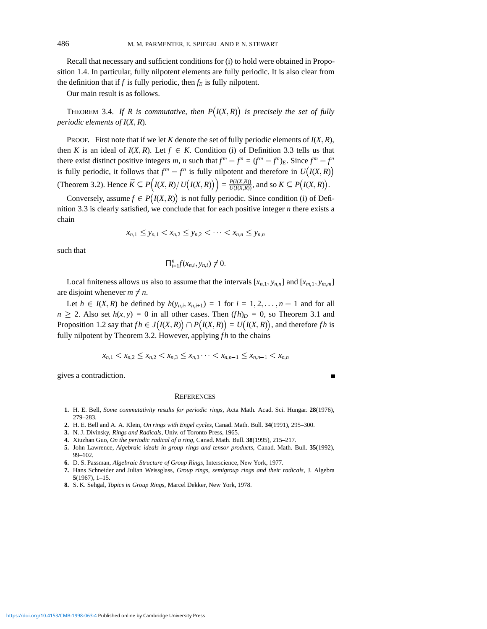Recall that necessary and sufficient conditions for (i) to hold were obtained in Proposition 1.4. In particular, fully nilpotent elements are fully periodic. It is also clear from the definition that if  $f$  is fully periodic, then  $f_E$  is fully nilpotent.

Our main result is as follows.

**THEOREM** 3.4. If R is commutative, then  $P(I(X,R))$  is precisely the set of fully *periodic elements of*  $I(X, R)$ *.* 

PROOF. First note that if we let  $K$  denote the set of fully periodic elements of  $I(X, R)$ , then *K* is an ideal of  $I(X, R)$ . Let  $f \in K$ . Condition (i) of Definition 3.3 tells us that there exist distinct positive integers *m*, *n* such that  $f^m - f^n = (f^m - f^n)_E$ . Since  $f^m - f^n$ is fully periodic, it follows that  $f^m - f^n$  is fully nilpotent and therefore in  $U(I(X,R))$ (Theorem 3.2). Hence  $\bar{K} \subseteq P(L(X,R)/U(L(X,R))) = \frac{P(L(X,R))}{U(L(X,R))}$ , and so  $K \subseteq P(L(X,R))$ .

Conversely, assume  $f \in P(I(X,R))$  is not fully periodic. Since condition (i) of Definition 3.3 is clearly satisfied, we conclude that for each positive integer *n* there exists a chain

$$
x_{n,1} \leq y_{n,1} < x_{n,2} \leq y_{n,2} < \cdots < x_{n,n} \leq y_{n,n}
$$

such that

$$
\Pi_{i=1}^n f(x_{n,i}, y_{n,i}) \neq 0.
$$

Local finiteness allows us also to assume that the intervals  $[x_{n,1}, y_{n,n}]$  and  $[x_{m,1}, y_{m,m}]$ are disjoint whenever  $m \neq n$ .

Let  $h \in I(X, R)$  be defined by  $h(y_{n,i}, x_{n,i+1}) = 1$  for  $i = 1, 2, \ldots, n-1$  and for all  $n \ge 2$ . Also set  $h(x, y) = 0$  in all other cases. Then  $(fh)_D = 0$ , so Theorem 3.1 and Proposition 1.2 say that  $fh \in J(I(X,R)) \cap P(I(X,R)) = U(I(X,R))$ , and therefore  $fh$  is fully nilpotent by Theorem 3.2. However, applying *fh* to the chains

$$
x_{n,1} < x_{n,2} \le x_{n,2} < x_{n,3} \le x_{n,3} \cdots < x_{n,n-1} \le x_{n,n-1} < x_{n,n}
$$

 $\blacksquare$ 

gives a contradiction.

## **REFERENCES**

- **1.** H. E. Bell, *Some commutativity results for periodic rings*, Acta Math. Acad. Sci. Hungar. **28**(1976), 279–283.
- **2.** H. E. Bell and A. A. Klein, *On rings with Engel cycles*, Canad. Math. Bull. **34**(1991), 295–300.
- **3.** N. J. Divinsky, *Rings and Radicals*, Univ. of Toronto Press, 1965.
- **4.** Xiuzhan Guo, *On the periodic radical of a ring*, Canad. Math. Bull. **38**(1995), 215–217.
- **5.** John Lawrence, *Algebraic ideals in group rings and tensor products*, Canad. Math. Bull. **35**(1992), 99–102.
- **6.** D. S. Passman, *Algebraic Structure of Group Rings*, Interscience, New York, 1977.
- **7.** Hans Schneider and Julian Weissglass, *Group rings, semigroup rings and their radicals*, J. Algebra **5**(1967), 1–15.
- **8.** S. K. Sehgal, *Topics in Group Rings*, Marcel Dekker, New York, 1978.